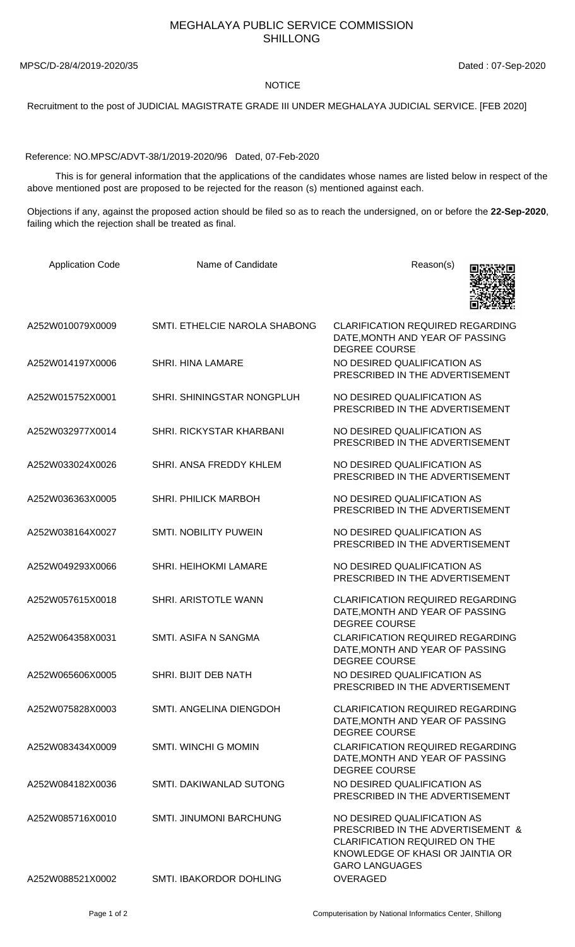## MEGHALAYA PUBLIC SERVICE COMMISSION SHILLONG

MPSC/D-28/4/2019-2020/35 Dated : 07-Sep-2020

## NOTICE

Recruitment to the post of JUDICIAL MAGISTRATE GRADE III UNDER MEGHALAYA JUDICIAL SERVICE. [FEB 2020]

Reference: NO.MPSC/ADVT-38/1/2019-2020/96 Dated, 07-Feb-2020

 This is for general information that the applications of the candidates whose names are listed below in respect of the above mentioned post are proposed to be rejected for the reason (s) mentioned against each.

Objections if any, against the proposed action should be filed so as to reach the undersigned, on or before the **22-Sep-2020**, failing which the rejection shall be treated as final.

| <b>Application Code</b> | Name of Candidate              | Reason(s)                                                                                                                                                             |
|-------------------------|--------------------------------|-----------------------------------------------------------------------------------------------------------------------------------------------------------------------|
| A252W010079X0009        | SMTI. ETHELCIE NAROLA SHABONG  | <b>CLARIFICATION REQUIRED REGARDING</b><br>DATE, MONTH AND YEAR OF PASSING<br><b>DEGREE COURSE</b>                                                                    |
| A252W014197X0006        | <b>SHRI. HINA LAMARE</b>       | NO DESIRED QUALIFICATION AS<br>PRESCRIBED IN THE ADVERTISEMENT                                                                                                        |
| A252W015752X0001        | SHRI. SHININGSTAR NONGPLUH     | NO DESIRED QUALIFICATION AS<br>PRESCRIBED IN THE ADVERTISEMENT                                                                                                        |
| A252W032977X0014        | SHRI. RICKYSTAR KHARBANI       | NO DESIRED QUALIFICATION AS<br>PRESCRIBED IN THE ADVERTISEMENT                                                                                                        |
| A252W033024X0026        | SHRI. ANSA FREDDY KHLEM        | NO DESIRED QUALIFICATION AS<br>PRESCRIBED IN THE ADVERTISEMENT                                                                                                        |
| A252W036363X0005        | <b>SHRI. PHILICK MARBOH</b>    | NO DESIRED QUALIFICATION AS<br>PRESCRIBED IN THE ADVERTISEMENT                                                                                                        |
| A252W038164X0027        | <b>SMTI. NOBILITY PUWEIN</b>   | NO DESIRED QUALIFICATION AS<br>PRESCRIBED IN THE ADVERTISEMENT                                                                                                        |
| A252W049293X0066        | SHRI. HEIHOKMI LAMARE          | NO DESIRED QUALIFICATION AS<br>PRESCRIBED IN THE ADVERTISEMENT                                                                                                        |
| A252W057615X0018        | SHRI. ARISTOTLE WANN           | <b>CLARIFICATION REQUIRED REGARDING</b><br>DATE, MONTH AND YEAR OF PASSING<br><b>DEGREE COURSE</b>                                                                    |
| A252W064358X0031        | SMTI, ASIFA N SANGMA           | <b>CLARIFICATION REQUIRED REGARDING</b><br>DATE, MONTH AND YEAR OF PASSING<br><b>DEGREE COURSE</b>                                                                    |
| A252W065606X0005        | SHRI. BIJIT DEB NATH           | NO DESIRED QUALIFICATION AS<br>PRESCRIBED IN THE ADVERTISEMENT                                                                                                        |
| A252W075828X0003        | SMTI. ANGELINA DIENGDOH        | <b>CLARIFICATION REQUIRED REGARDING</b><br>DATE, MONTH AND YEAR OF PASSING<br><b>DEGREE COURSE</b>                                                                    |
| A252W083434X0009        | <b>SMTI. WINCHI G MOMIN</b>    | <b>CLARIFICATION REQUIRED REGARDING</b><br>DATE, MONTH AND YEAR OF PASSING<br><b>DEGREE COURSE</b>                                                                    |
| A252W084182X0036        | SMTL DAKIWANLAD SUTONG         | NO DESIRED QUALIFICATION AS<br>PRESCRIBED IN THE ADVERTISEMENT                                                                                                        |
| A252W085716X0010        | <b>SMTI. JINUMONI BARCHUNG</b> | NO DESIRED QUALIFICATION AS<br>PRESCRIBED IN THE ADVERTISEMENT &<br><b>CLARIFICATION REQUIRED ON THE</b><br>KNOWLEDGE OF KHASI OR JAINTIA OR<br><b>GARO LANGUAGES</b> |
| A252W088521X0002        | SMTI. IBAKORDOR DOHLING        | OVERAGED                                                                                                                                                              |